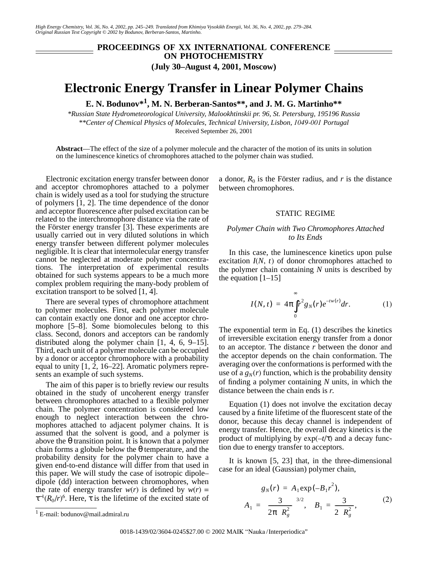*High Energy Chemistry, Vol. 36, No. 4, 2002, pp. 245–249. Translated from Khimiya Vysokikh Energii, Vol. 36, No. 4, 2002, pp. 279–284. Original Russian Text Copyright © 2002 by Bodunov, Berberan-Santos, Martinho.*

## **PROCEEDINGS OF XX INTERNATIONAL CONFERENCE ON PHOTOCHEMISTRY (July 30–August 4, 2001, Moscow)**

# **Electronic Energy Transfer in Linear Polymer Chains**

**E. N. Bodunov\*1, M. N. Berberan-Santos\*\*, and J. M. G. Martinho\*\***

*\*Russian State Hydrometeorological University, Malookhtinskii pr. 96, St. Petersburg, 195196 Russia \*\*Center of Chemical Physics of Molecules, Technical University, Lisbon, 1049-001 Portugal* Received September 26, 2001

**Abstract**—The effect of the size of a polymer molecule and the character of the motion of its units in solution on the luminescence kinetics of chromophores attached to the polymer chain was studied.

Electronic excitation energy transfer between donor and acceptor chromophores attached to a polymer chain is widely used as a tool for studying the structure of polymers [1, 2]. The time dependence of the donor and acceptor fluorescence after pulsed excitation can be related to the interchromophore distance via the rate of the Förster energy transfer [3]. These experiments are usually carried out in very diluted solutions in which energy transfer between different polymer molecules negligible. It is clear that intermolecular energy transfer cannot be neglected at moderate polymer concentrations. The interpretation of experimental results obtained for such systems appears to be a much more complex problem requiring the many-body problem of excitation transport to be solved [1, 4].

There are several types of chromophore attachment to polymer molecules. First, each polymer molecule can contain exactly one donor and one acceptor chromophore [5–8]. Some biomolecules belong to this class. Second, donors and acceptors can be randomly distributed along the polymer chain [1, 4, 6, 9–15]. Third, each unit of a polymer molecule can be occupied by a donor or acceptor chromophore with a probability equal to unity  $[1, 2, 16-22]$ . Aromatic polymers represents an example of such systems.

The aim of this paper is to briefly review our results obtained in the study of uncoherent energy transfer between chromophores attached to a flexible polymer chain. The polymer concentration is considered low enough to neglect interaction between the chromophores attached to adjacent polymer chains. It is assumed that the solvent is good, and a polymer is above the  $\theta$  transition point. It is known that a polymer chain forms a globule below the θ temperature, and the probability density for the polymer chain to have a given end-to-end distance will differ from that used in this paper. We will study the case of isotropic dipole– dipole (dd) interaction between chromophores, when the rate of energy transfer  $w(r)$  is defined by  $w(r)$  = τ−<sup>1</sup> (*R*0/*r*) 6 . Here, τ is the lifetime of the excited state of

a donor,  $R_0$  is the Förster radius, and  $r$  is the distance between chromophores.

#### STATIC REGIME

### *Polymer Chain with Two Chromophores Attached to Its Ends*

In this case, the luminescence kinetics upon pulse excitation  $I(N, t)$  of donor chromophores attached to the polymer chain containing *N* units is described by the equation  $[1-15]$ 

$$
I(N, t) = 4\pi \int_{0}^{\infty} r^{2} g_{N}(r) e^{-t w(r)} dr.
$$
 (1)

The exponential term in Eq. (1) describes the kinetics of irreversible excitation energy transfer from a donor to an acceptor. The distance *r* between the donor and the acceptor depends on the chain conformation. The averaging over the conformations is performed with the use of a  $g_N(r)$  function, which is the probability density of finding a polymer containing *N* units, in which the distance between the chain ends is *r*.

Equation (1) does not involve the excitation decay caused by a finite lifetime of the fluorescent state of the donor, because this decay channel is independent of energy transfer. Hence, the overall decay kinetics is the product of multiplying by exp(–*t*/τ) and a decay function due to energy transfer to acceptors.

It is known [5, 23] that, in the three-dimensional case for an ideal (Gaussian) polymer chain,

$$
g_N(r) = A_1 \exp(-B_1 r^2),
$$
  

$$
A_1 = \left(\frac{3}{2\pi \langle R_g^2 \rangle}\right)^{3/2}, \quad B_1 = \frac{3}{2 \langle R_g^2 \rangle},
$$
 (2)

<sup>1</sup> E-mail: bodunov@mail.admiral.ru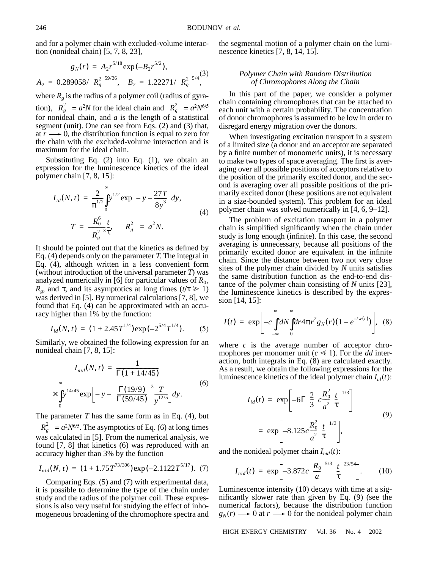and for a polymer chain with excluded-volume interaction (nonideal chain) [5, 7, 8, 23],

$$
g_N(r) = A_2 r^{5/18} \exp(-B_2 r^{5/2}),
$$
  
\n
$$
A_2 = 0.289058 / \langle R_g^2 \rangle^{59/36}, \quad B_2 = 1.22271 / \langle R_g^2 \rangle^{5/4},
$$

where  $R_g$  is the radius of a polymer coil (radius of gyration),  $\langle R_g^2 \rangle = a^2 N$  for the ideal chain and  $\langle R_g^2 \rangle = a^2 N^{6/5}$ for nonideal chain, and  $a$  is the length of a statistical segment (unit). One can see from Eqs. (2) and (3) that, at  $r \rightarrow 0$ , the distribution function is equal to zero for the chain with the excluded-volume interaction and is maximum for the ideal chain.

Substituting Eq. (2) into Eq. (1), we obtain an expression for the luminescence kinetics of the ideal polymer chain [7, 8, 15]:

$$
I_{id}(N, t) = \frac{2}{\pi^{1/2}} \int_{0}^{\infty} y^{1/2} \exp\left(-y - \frac{27T}{8y^{3}}\right) dy,
$$
  

$$
T = \frac{R_{0}^{6}}{\langle R_{g}^{2} \rangle^{3}} \frac{t}{\tau}, \quad \langle R_{g}^{2} \rangle = a^{2} N.
$$
 (4)

It should be pointed out that the kinetics as defined by Eq. (4) depends only on the parameter *T*. The integral in Eq. (4), although written in a less convenient form (without introduction of the universal parameter *T*) was analyzed numerically in [6] for particular values of  $R_0$ , *R<sub>g</sub>*, and τ, and its asymptotics at long times ( $t/\tau \ge 1$ ) was derived in [5]. By numerical calculations [7, 8], we found that Eq. (4) can be approximated with an accuracy higher than 1% by the function:

$$
I_{id}(N, t) = (1 + 2.45T^{1/4}) \exp(-2^{5/4}T^{1/4}).
$$
 (5)

Similarly, we obtained the following expression for an nonideal chain [7, 8, 15]:

$$
I_{nid}(N, t) = \frac{1}{\Gamma(1 + 14/45)}
$$
  
 
$$
\times \int_{0}^{\infty} y^{14/45} \exp\left[-y - \left(\frac{\Gamma(19/9)}{\Gamma(59/45)}\right)^3 \frac{T}{y^{12/5}}\right] dy.
$$
 (6)

The parameter  $T$  has the same form as in Eq.  $(4)$ , but  $\langle R_g^2 \rangle = a^2 N^{6/5}$ . The asymptotics of Eq. (6) at long times was calculated in [5]. From the numerical analysis, we found [7, 8] that kinetics (6) was reproduced with an accuracy higher than 3% by the function

$$
I_{ni}(N, t) = (1 + 1.75T^{73/306}) \exp(-2.1122T^{5/17}). \tag{7}
$$

Comparing Eqs. (5) and (7) with experimental data, it is possible to determine the type of the chain under study and the radius of the polymer coil. These expressions is also very useful for studying the effect of inhomogeneous broadening of the chromophore spectra and the segmental motion of a polymer chain on the luminescence kinetics [7, 8, 14, 15].

#### *Polymer Chain with Random Distribution of Chromophores Along the Chain*

In this part of the paper, we consider a polymer chain containing chromophores that can be attached to each unit with a certain probability. The concentration of donor chromophores is assumed to be low in order to disregard energy migration over the donors.

When investigating excitation transport in a system of a limited size (a donor and an acceptor are separated by a finite number of monomeric units), it is necessary to make two types of space averaging. The first is averaging over all possible positions of acceptors relative to the position of the primarily excited donor, and the second is averaging over all possible positions of the primarily excited donor (these positions are not equivalent in a size-bounded system). This problem for an ideal polymer chain was solved numerically in [4, 6, 9–12].

The problem of excitation transport in a polymer chain is simplified significantly when the chain under study is long enough (infinite). In this case, the second averaging is unnecessary, because all positions of the primarily excited donor are equivalent in the infinite chain. Since the distance between two not very close sites of the polymer chain divided by *N* units satisfies the same distribution function as the end-to-end distance of the polymer chain consisting of *N* units [23], the luminescence kinetics is described by the expression [14, 15]:

$$
I(t) = \exp\left[-c\int_{-\infty}^{\infty} dN \int_{0}^{\infty} dr 4\pi r^2 g_N(r) (1 - e^{-tw(r)})\right], \quad (8)
$$

where *c* is the average number of acceptor chromophores per monomer unit ( $c \ll 1$ ). For the *dd* interaction, both integrals in Eq. (8) are calculated exactly. As a result, we obtain the following expressions for the luminescence kinetics of the ideal polymer chain  $I_{id}(t)$ :

$$
I_{id}(t) = \exp\left[-6\Gamma\left(\frac{2}{3}\right)c\frac{R_0^2}{a^2}\left(\frac{t}{\tau}\right)^{1/3}\right]
$$
  
=  $\exp\left[-8.125c\frac{R_0^2}{a^2}\left(\frac{t}{\tau}\right)^{1/3}\right],$  (9)

and the nonideal polymer chain  $I_{nid}(t)$ :

$$
I_{ni}(t) = \exp\left[-3.872c\left(\frac{R_0}{a}\right)^{5/3}\left(\frac{t}{\tau}\right)^{23/54}\right].
$$
 (10)

Luminescence intensity (10) decays with time at a significantly slower rate than given by Eq. (9) (see the numerical factors), because the distribution function  $g_N(r) \longrightarrow 0$  at  $r \longrightarrow 0$  for the nonideal polymer chain

HIGH ENERGY CHEMISTRY Vol. 36 No. 4 2002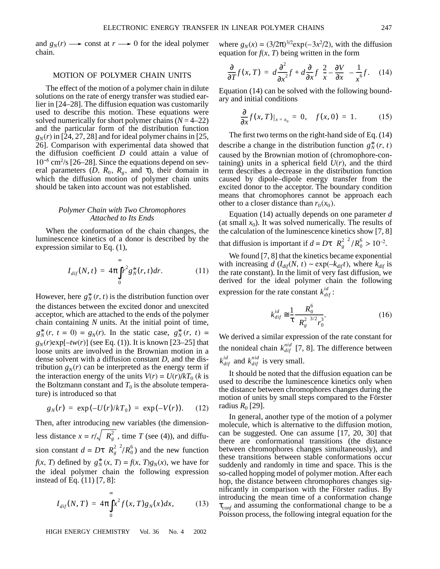and  $g_N(r) \longrightarrow$  const at  $r \longrightarrow 0$  for the ideal polymer chain.

#### MOTION OF POLYMER CHAIN UNITS

The effect of the motion of a polymer chain in dilute solutions on the rate of energy transfer was studied earlier in [24–28]. The diffusion equation was customarily used to describe this motion. These equations were solved numerically for short polymer chains  $(N = 4-22)$ and the particular form of the distribution function  $g_N(r)$  in [24, 27, 28] and for ideal polymer chains in [25, 26]. Comparison with experimental data showed that the diffusion coefficient *D* could attain a value of 10<sup>−</sup><sup>5</sup> cm2 /s [26–28]. Since the equations depend on several parameters  $(D, R_0, R_g, \text{ and } \tau)$ , their domain in which the diffusion motion of polymer chain units should be taken into account was not established.

#### *Polymer Chain with Two Chromophores Attached to Its Ends*

When the conformation of the chain changes, the luminescence kinetics of a donor is described by the expression similar to Eq. (1),

$$
I_{dif}(N,t) = 4\pi \int_{0}^{\infty} r^2 g_N^*(r,t) dr.
$$
 (11)

However, here  $g_N^*(r, t)$  is the distribution function over the distances between the excited donor and unexcited acceptor, which are attached to the ends of the polymer chain containing *N* units. At the initial point of time,  $g_N^*(r, t = 0) = g_N(r)$ . In the static case,  $g_N^*(r, t) =$  $g_N(r)$ exp[–*tw*(*r*)] (see Eq. (1)). It is known [23–25] that loose units are involved in the Brownian motion in a dense solvent with a diffusion constant *D*, and the distribution  $g_N(r)$  can be interpreted as the energy term if the interaction energy of the units  $V(r) = U(r)/kT_0$  (*k* is the Boltzmann constant and  $T_0$  is the absolute temperature) is introduced so that

$$
g_N(r) = \exp(-U(r)/kT_0) = \exp(-V(r)). \quad (12)
$$

Then, after introducing new variables (the dimensionless distance  $x = r / \sqrt{\langle R_g^2 \rangle}$ , time *T* (see (4)), and diffusion constant  $d = D\tau \langle R_g^2 \rangle^2 / R_0^6$  and the new function *f*(*x*, *T*) defined by  $g_N^*(x, T) = f(x, T)g_N(x)$ , we have for the ideal polymer chain the following expression instead of Eq. (11) [7, 8]:

$$
I_{dif}(N,T) = 4\pi \int_{0}^{\infty} x^{2} f(x, T) g_{N}(x) dx,
$$
 (13)

HIGH ENERGY CHEMISTRY Vol. 36 No. 4 2002

where  $g_N(x) = (3/2\pi)^{3/2} \exp(-3x^2/2)$ , with the diffusion equation for  $f(x, T)$  being written in the form

$$
\frac{\partial}{\partial T}f(x,T) = d\frac{\partial^2}{\partial x^2}f + d\frac{\partial}{\partial x}f\left(\frac{2}{x} - \frac{\partial V}{\partial x}\right) - \frac{1}{x^6}f. \quad (14)
$$

Equation (14) can be solved with the following boundary and initial conditions

$$
\frac{\partial}{\partial x} f(x, T)|_{x = x_0} = 0, \quad f(x, 0) = 1. \tag{15}
$$

The first two terms on the right-hand side of Eq. (14) describe a change in the distribution function  $g_N^*(r, t)$ caused by the Brownian motion of (chromophore-containing) units in a spherical field  $U(r)$ , and the third term describes a decrease in the distribution function caused by dipole–dipole energy transfer from the excited donor to the acceptor. The boundary condition means that chromophores cannot be approach each other to a closer distance than  $r_0(x_0)$ .

Equation (14) actually depends on one parameter *d* (at small  $x_0$ ). It was solved numerically. The results of the calculation of the luminescence kinetics show [7, 8] that diffusion is important if  $d = D\tau \langle R_g^2 \rangle^2 / R_0^6 > 10^{-2}$ .

We found [7, 8] that the kinetics became exponential with increasing  $d(I_{dif}(N, t) \sim \exp(-k_{dif} t))$ , where  $k_{dif}$  is the rate constant). In the limit of very fast diffusion, we derived for the ideal polymer chain the following expression for the rate constant  $k_{di}^{id}$ :

$$
k_{dif}^{id} \cong \frac{1}{\tau} \frac{R_0^6}{\langle R_g^2 \rangle^{3/2} r_0^3}.
$$
 (16)

We derived a similar expression of the rate constant for the nonideal chain  $k_{dif}^{nid}$  [7, 8]. The difference between  $k_{dif}^{id}$  and  $k_{dif}^{nid}$  is very small.

It should be noted that the diffusion equation can be used to describe the luminescence kinetics only when the distance between chromophores changes during the motion of units by small steps compared to the Förster radius  $R_0$  [29].

In general, another type of the motion of a polymer molecule, which is alternative to the diffusion motion, can be suggested. One can assume [17, 20, 30] that there are conformational transitions (the distance between chromophores changes simultaneously), and these transitions between stable conformations occur suddenly and randomly in time and space. This is the so-called hopping model of polymer motion. After each hop, the distance between chromophores changes significantly in comparison with the Förster radius. By introducing the mean time of a conformation change τ*conf* and assuming the conformational change to be a Poisson process, the following integral equation for the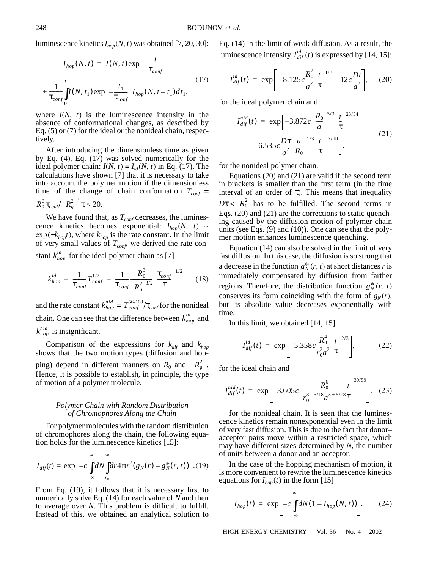luminescence kinetics  $I_{\text{hop}}(N, t)$  was obtained [7, 20, 30]:

$$
I_{hop}(N, t) = I(N, t) \exp\left(-\frac{t}{\tau_{conf}}\right)
$$
  
+ 
$$
\frac{1}{\tau_{conf}} \int_{0}^{t} I(N, t_1) \exp\left(-\frac{t_1}{\tau_{conf}}\right) I_{hop}(N, t - t_1) dt_1,
$$
 (17)

where  $I(N, t)$  is the luminescence intensity in the absence of conformational changes, as described by Eq. (5) or (7) for the ideal or the nonideal chain, respectively.

After introducing the dimensionless time as given by Eq. (4), Eq. (17) was solved numerically for the ideal polymer chain:  $I(N, t) = I_{id}(N, t)$  in Eq. (17). The calculations have shown [7] that it is necessary to take into account the polymer motion if the dimensionless time of the change of chain conformation  $T_{conf}$  =  $R_0^6 \tau_{conf} / \langle R_g^2 \rangle^3 \tau$  < 20.

We have found that, as  $T_{conf}$  decreases, the luminescence kinetics becomes exponential:  $I_{hop}(N, t) \sim$  $exp(-k_{hop}t)$ , where  $k_{hop}$  is the rate constant. In the limit of very small values of  $T_{\text{conf}}$ , we derived the rate constant  $k_{hop}^{id}$  for the ideal polymer chain as [7]

$$
k_{hop}^{id} = \frac{1}{\tau_{conf}} T_{conf}^{1/2} = \frac{1}{\tau_{conf}} \frac{R_0^3}{(R_g^2)^{3/2}} \left(\frac{\tau_{conf}}{\tau}\right)^{1/2}
$$
 (18)

and the rate constant  $k_{hop}^{nid} = T_{conf}^{56/108}/\tau_{conf}$  for the nonideal chain. One can see that the difference between  $k_{hop}^{id}$  and  $k_{hop}^{nid}$  is insignificant.

Comparison of the expressions for  $k_{dif}$  and  $k_{hop}$ shows that the two motion types (diffusion and hopping) depend in different manners on  $R_0$  and  $\langle R_g^2 \rangle$ . Hence, it is possible to establish, in principle, the type of motion of a polymer molecule.

#### *Polymer Chain with Random Distribution of Chromophores Along the Chain*

For polymer molecules with the random distribution of chromophores along the chain, the following equation holds for the luminescence kinetics [15]:

$$
I_{dif}(t) = \exp \left[ -c \int_{-\infty}^{\infty} dN \int_{r_0}^{\infty} dr 4\pi r^2 (g_N(r) - g_N^*(r, t)) \right].{(19)}
$$

From Eq. (19), it follows that it is necessary first to numerically solve Eq. (14) for each value of *N* and then to average over *N*. This problem is difficult to fulfill. Instead of this, we obtained an analytical solution to Eq. (14) in the limit of weak diffusion. As a result, the luminescence intensity  $I_{dif}^{id}(t)$  is expressed by [14, 15]:

$$
I_{dif}^{id}(t) = \exp\bigg[-8.125c\frac{R_0^2}{a^2}\bigg(\frac{t}{\tau}\bigg)^{1/3} - 12c\frac{Dt}{a^2}\bigg],\qquad(20)
$$

for the ideal polymer chain and

$$
I_{dif}^{nid}(t) = \exp\left[-3.872c\left(\frac{R_0}{a}\right)^{5/3}\left(\frac{t}{\tau}\right)^{23/54}\right] - 6.535c\frac{D\tau}{a^2}\left(\frac{a}{R_0}\right)^{1/3}\left(\frac{t}{\tau}\right)^{17/18}\right].
$$
\n(21)

for the nonideal polymer chain.

Equations (20) and (21) are valid if the second term in brackets is smaller than the first term (in the time interval of an order of  $\tau$ ). This means that inequality  $D\tau < R_0^2$  has to be fulfilled. The second terms in Eqs. (20) and (21) are the corrections to static quenching caused by the diffusion motion of polymer chain units (see Eqs. (9) and (10)). One can see that the polymer motion enhances luminescence quenching.

Equation (14) can also be solved in the limit of very fast diffusion. In this case, the diffusion is so strong that a decrease in the function  $g_N^*(r, t)$  at short distances *r* is immediately compensated by diffusion from farther regions. Therefore, the distribution function  $g_N^*(r, t)$ conserves its form coinciding with the form of  $g_N(r)$ , but its absolute value decreases exponentially with time.

In this limit, we obtained [14, 15]

$$
I_{dif}^{id}(t) = \exp \left[ -5.358c \frac{R_0^4}{r_0^2 a^2} \left( \frac{t}{\tau} \right)^{2/3} \right],
$$
 (22)

for the ideal chain and

$$
I_{dif}^{nid}(t) = \exp \left[-3.605c \left(\frac{R_0^6}{r_0^{3-5/18}a^{3+5/18}\tau}\right)^{30/59}\right].
$$
 (23)

for the nonideal chain. It is seen that the luminescence kinetics remain nonexponential even in the limit of very fast diffusion. This is due to the fact that donor– acceptor pairs move within a restricted space, which may have different sizes determined by *N*, the number of units between a donor and an acceptor.

In the case of the hopping mechanism of motion, it is more convenient to rewrite the luminescence kinetics equations for  $I_{hop}(t)$  in the form [15]

$$
I_{hop}(t) = \exp\left[-c\int_{-\infty}^{\infty} dN(1 - I_{hop}(N, t))\right].
$$
 (24)

HIGH ENERGY CHEMISTRY Vol. 36 No. 4 2002